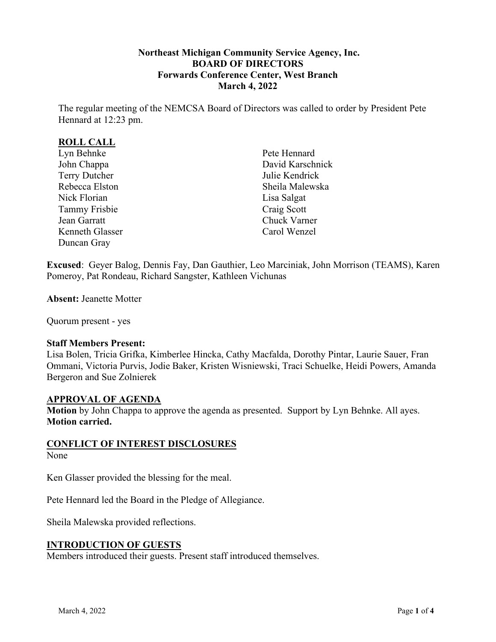## **Northeast Michigan Community Service Agency, Inc. BOARD OF DIRECTORS Forwards Conference Center, West Branch March 4, 2022**

The regular meeting of the NEMCSA Board of Directors was called to order by President Pete Hennard at 12:23 pm.

# **ROLL CALL**

Lyn Behnke John Chappa Terry Dutcher Rebecca Elston Nick Florian Tammy Frisbie Jean Garratt Kenneth Glasser Duncan Gray

Pete Hennard David Karschnick Julie Kendrick Sheila Malewska Lisa Salgat Craig Scott Chuck Varner Carol Wenzel

**Excused**: Geyer Balog, Dennis Fay, Dan Gauthier, Leo Marciniak, John Morrison (TEAMS), Karen Pomeroy, Pat Rondeau, Richard Sangster, Kathleen Vichunas

**Absent:** Jeanette Motter

Quorum present - yes

#### **Staff Members Present:**

Lisa Bolen, Tricia Grifka, Kimberlee Hincka, Cathy Macfalda, Dorothy Pintar, Laurie Sauer, Fran Ommani, Victoria Purvis, Jodie Baker, Kristen Wisniewski, Traci Schuelke, Heidi Powers, Amanda Bergeron and Sue Zolnierek

#### **APPROVAL OF AGENDA**

**Motion** by John Chappa to approve the agenda as presented. Support by Lyn Behnke. All ayes. **Motion carried.**

### **CONFLICT OF INTEREST DISCLOSURES**

#### None

Ken Glasser provided the blessing for the meal.

Pete Hennard led the Board in the Pledge of Allegiance.

Sheila Malewska provided reflections.

### **INTRODUCTION OF GUESTS**

Members introduced their guests. Present staff introduced themselves.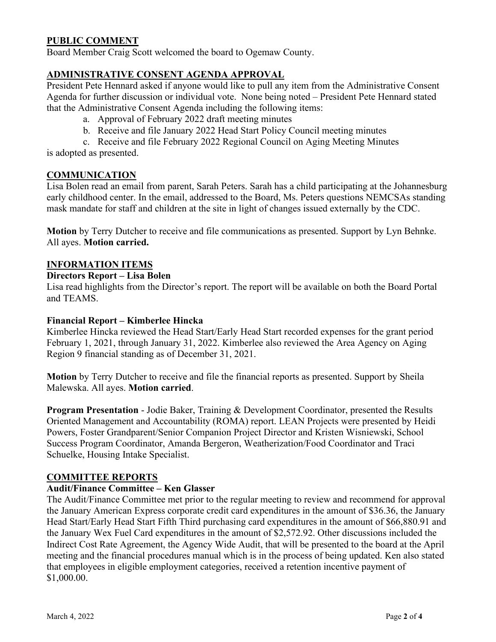# **PUBLIC COMMENT**

Board Member Craig Scott welcomed the board to Ogemaw County.

### **ADMINISTRATIVE CONSENT AGENDA APPROVAL**

President Pete Hennard asked if anyone would like to pull any item from the Administrative Consent Agenda for further discussion or individual vote. None being noted – President Pete Hennard stated that the Administrative Consent Agenda including the following items:

- a. Approval of February 2022 draft meeting minutes
- b. Receive and file January 2022 Head Start Policy Council meeting minutes
- c. Receive and file February 2022 Regional Council on Aging Meeting Minutes is adopted as presented.

## **COMMUNICATION**

Lisa Bolen read an email from parent, Sarah Peters. Sarah has a child participating at the Johannesburg early childhood center. In the email, addressed to the Board, Ms. Peters questions NEMCSAs standing mask mandate for staff and children at the site in light of changes issued externally by the CDC.

**Motion** by Terry Dutcher to receive and file communications as presented. Support by Lyn Behnke. All ayes. **Motion carried.**

### **INFORMATION ITEMS**

### **Directors Report – Lisa Bolen**

Lisa read highlights from the Director's report. The report will be available on both the Board Portal and TEAMS.

#### **Financial Report – Kimberlee Hincka**

Kimberlee Hincka reviewed the Head Start/Early Head Start recorded expenses for the grant period February 1, 2021, through January 31, 2022. Kimberlee also reviewed the Area Agency on Aging Region 9 financial standing as of December 31, 2021.

**Motion** by Terry Dutcher to receive and file the financial reports as presented. Support by Sheila Malewska. All ayes. **Motion carried**.

**Program Presentation** - Jodie Baker, Training & Development Coordinator, presented the Results Oriented Management and Accountability (ROMA) report. LEAN Projects were presented by Heidi Powers, Foster Grandparent/Senior Companion Project Director and Kristen Wisniewski, School Success Program Coordinator, Amanda Bergeron, Weatherization/Food Coordinator and Traci Schuelke, Housing Intake Specialist.

### **COMMITTEE REPORTS**

### **Audit/Finance Committee – Ken Glasser**

The Audit/Finance Committee met prior to the regular meeting to review and recommend for approval the January American Express corporate credit card expenditures in the amount of \$36.36, the January Head Start/Early Head Start Fifth Third purchasing card expenditures in the amount of \$66,880.91 and the January Wex Fuel Card expenditures in the amount of \$2,572.92. Other discussions included the Indirect Cost Rate Agreement, the Agency Wide Audit, that will be presented to the board at the April meeting and the financial procedures manual which is in the process of being updated. Ken also stated that employees in eligible employment categories, received a retention incentive payment of \$1,000.00.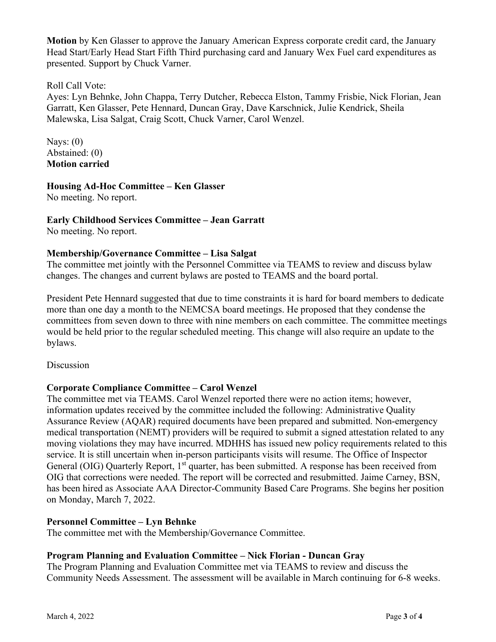**Motion** by Ken Glasser to approve the January American Express corporate credit card, the January Head Start/Early Head Start Fifth Third purchasing card and January Wex Fuel card expenditures as presented. Support by Chuck Varner.

## Roll Call Vote:

Ayes: Lyn Behnke, John Chappa, Terry Dutcher, Rebecca Elston, Tammy Frisbie, Nick Florian, Jean Garratt, Ken Glasser, Pete Hennard, Duncan Gray, Dave Karschnick, Julie Kendrick, Sheila Malewska, Lisa Salgat, Craig Scott, Chuck Varner, Carol Wenzel.

Nays: (0) Abstained: (0) **Motion carried**

**Housing Ad-Hoc Committee – Ken Glasser**

No meeting. No report.

# **Early Childhood Services Committee – Jean Garratt**

No meeting. No report.

### **Membership/Governance Committee – Lisa Salgat**

The committee met jointly with the Personnel Committee via TEAMS to review and discuss bylaw changes. The changes and current bylaws are posted to TEAMS and the board portal.

President Pete Hennard suggested that due to time constraints it is hard for board members to dedicate more than one day a month to the NEMCSA board meetings. He proposed that they condense the committees from seven down to three with nine members on each committee. The committee meetings would be held prior to the regular scheduled meeting. This change will also require an update to the bylaws.

Discussion

# **Corporate Compliance Committee – Carol Wenzel**

The committee met via TEAMS. Carol Wenzel reported there were no action items; however, information updates received by the committee included the following: Administrative Quality Assurance Review (AQAR) required documents have been prepared and submitted. Non-emergency medical transportation (NEMT) providers will be required to submit a signed attestation related to any moving violations they may have incurred. MDHHS has issued new policy requirements related to this service. It is still uncertain when in-person participants visits will resume. The Office of Inspector General (OIG) Quarterly Report, 1<sup>st</sup> quarter, has been submitted. A response has been received from OIG that corrections were needed. The report will be corrected and resubmitted. Jaime Carney, BSN, has been hired as Associate AAA Director-Community Based Care Programs. She begins her position on Monday, March 7, 2022.

# **Personnel Committee – Lyn Behnke**

The committee met with the Membership/Governance Committee.

# **Program Planning and Evaluation Committee – Nick Florian - Duncan Gray**

The Program Planning and Evaluation Committee met via TEAMS to review and discuss the Community Needs Assessment. The assessment will be available in March continuing for 6-8 weeks.